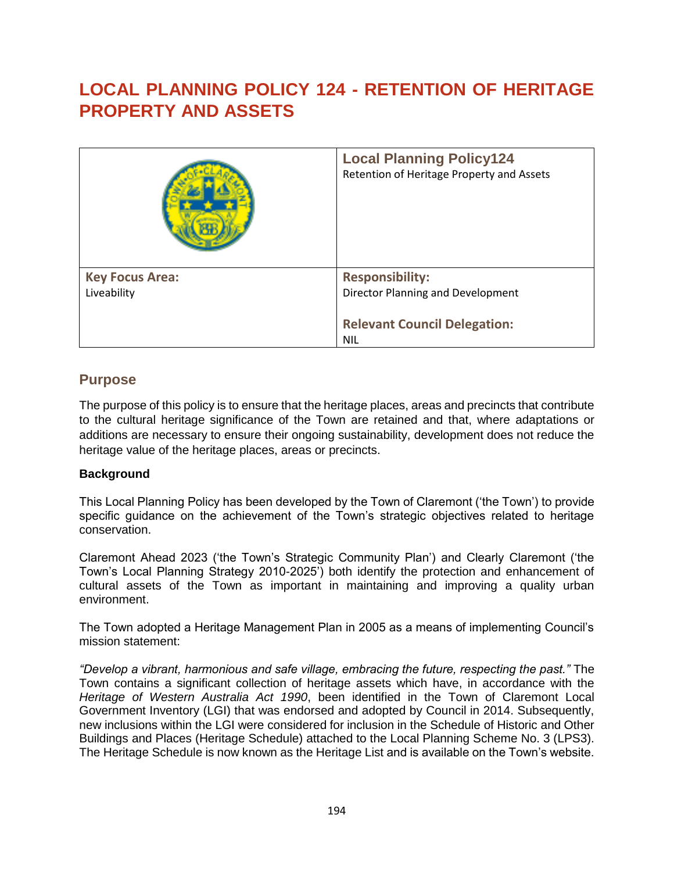# **LOCAL PLANNING POLICY 124 - RETENTION OF HERITAGE PROPERTY AND ASSETS**

|                        | <b>Local Planning Policy124</b><br>Retention of Heritage Property and Assets |
|------------------------|------------------------------------------------------------------------------|
| <b>Key Focus Area:</b> | <b>Responsibility:</b>                                                       |
| Liveability            | Director Planning and Development                                            |
|                        |                                                                              |
|                        | <b>Relevant Council Delegation:</b>                                          |
|                        | <b>NIL</b>                                                                   |

### **Purpose**

The purpose of this policy is to ensure that the heritage places, areas and precincts that contribute to the cultural heritage significance of the Town are retained and that, where adaptations or additions are necessary to ensure their ongoing sustainability, development does not reduce the heritage value of the heritage places, areas or precincts.

### **Background**

This Local Planning Policy has been developed by the Town of Claremont ('the Town') to provide specific guidance on the achievement of the Town's strategic objectives related to heritage conservation.

Claremont Ahead 2023 ('the Town's Strategic Community Plan') and Clearly Claremont ('the Town's Local Planning Strategy 2010-2025') both identify the protection and enhancement of cultural assets of the Town as important in maintaining and improving a quality urban environment.

The Town adopted a Heritage Management Plan in 2005 as a means of implementing Council's mission statement:

*"Develop a vibrant, harmonious and safe village, embracing the future, respecting the past."* The Town contains a significant collection of heritage assets which have, in accordance with the *Heritage of Western Australia Act 1990*, been identified in the Town of Claremont Local Government Inventory (LGI) that was endorsed and adopted by Council in 2014. Subsequently, new inclusions within the LGI were considered for inclusion in the Schedule of Historic and Other Buildings and Places (Heritage Schedule) attached to the Local Planning Scheme No. 3 (LPS3). The Heritage Schedule is now known as the Heritage List and is available on the Town's website.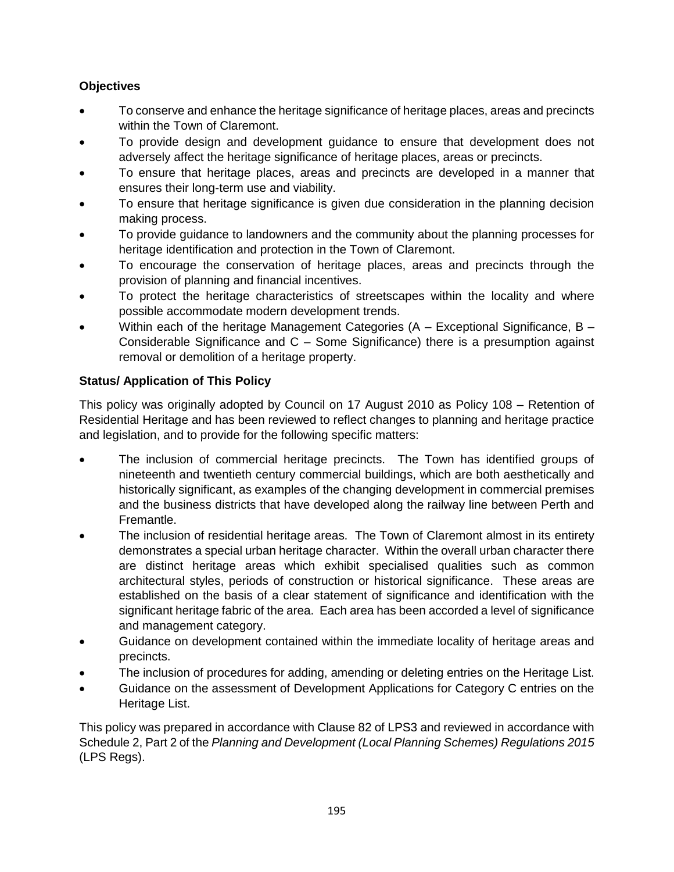### **Objectives**

- To conserve and enhance the heritage significance of heritage places, areas and precincts within the Town of Claremont.
- To provide design and development guidance to ensure that development does not adversely affect the heritage significance of heritage places, areas or precincts.
- To ensure that heritage places, areas and precincts are developed in a manner that ensures their long-term use and viability.
- To ensure that heritage significance is given due consideration in the planning decision making process.
- To provide guidance to landowners and the community about the planning processes for heritage identification and protection in the Town of Claremont.
- To encourage the conservation of heritage places, areas and precincts through the provision of planning and financial incentives.
- To protect the heritage characteristics of streetscapes within the locality and where possible accommodate modern development trends.
- Within each of the heritage Management Categories  $(A Exceptional Significantce, B -$ Considerable Significance and C – Some Significance) there is a presumption against removal or demolition of a heritage property.

### **Status/ Application of This Policy**

This policy was originally adopted by Council on 17 August 2010 as Policy 108 – Retention of Residential Heritage and has been reviewed to reflect changes to planning and heritage practice and legislation, and to provide for the following specific matters:

- The inclusion of commercial heritage precincts. The Town has identified groups of nineteenth and twentieth century commercial buildings, which are both aesthetically and historically significant, as examples of the changing development in commercial premises and the business districts that have developed along the railway line between Perth and Fremantle.
- The inclusion of residential heritage areas. The Town of Claremont almost in its entirety demonstrates a special urban heritage character. Within the overall urban character there are distinct heritage areas which exhibit specialised qualities such as common architectural styles, periods of construction or historical significance. These areas are established on the basis of a clear statement of significance and identification with the significant heritage fabric of the area. Each area has been accorded a level of significance and management category.
- Guidance on development contained within the immediate locality of heritage areas and precincts.
- The inclusion of procedures for adding, amending or deleting entries on the Heritage List.
- Guidance on the assessment of Development Applications for Category C entries on the Heritage List.

This policy was prepared in accordance with Clause 82 of LPS3 and reviewed in accordance with Schedule 2, Part 2 of the *Planning and Development (Local Planning Schemes) Regulations 2015* (LPS Regs).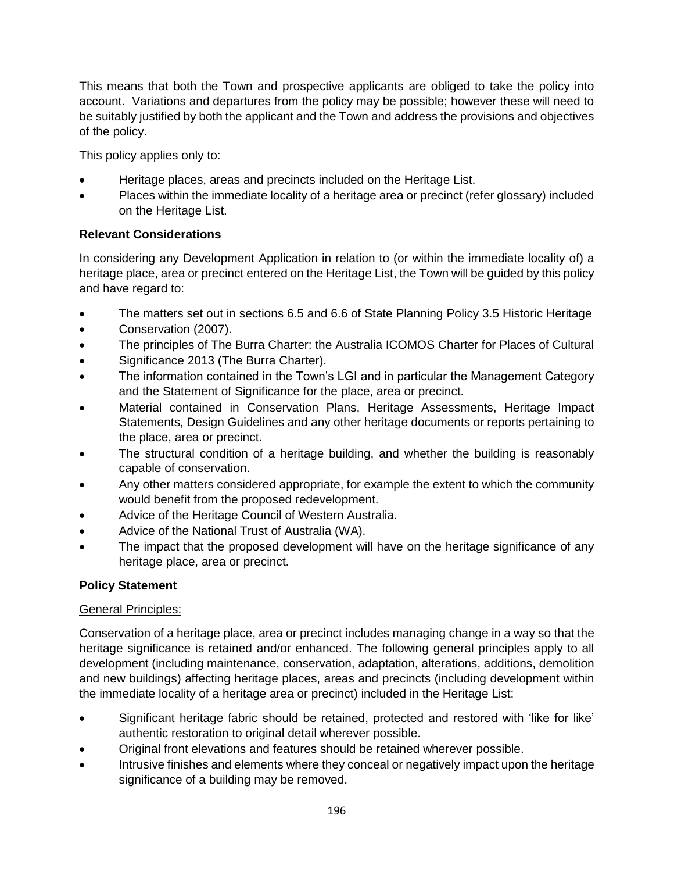This means that both the Town and prospective applicants are obliged to take the policy into account. Variations and departures from the policy may be possible; however these will need to be suitably justified by both the applicant and the Town and address the provisions and objectives of the policy.

This policy applies only to:

- Heritage places, areas and precincts included on the Heritage List.
- Places within the immediate locality of a heritage area or precinct (refer glossary) included on the Heritage List.

### **Relevant Considerations**

In considering any Development Application in relation to (or within the immediate locality of) a heritage place, area or precinct entered on the Heritage List, the Town will be guided by this policy and have regard to:

- The matters set out in sections 6.5 and 6.6 of State Planning Policy 3.5 Historic Heritage
- Conservation (2007).
- The principles of The Burra Charter: the Australia ICOMOS Charter for Places of Cultural
- Significance 2013 (The Burra Charter).
- The information contained in the Town's LGI and in particular the Management Category and the Statement of Significance for the place, area or precinct.
- Material contained in Conservation Plans, Heritage Assessments, Heritage Impact Statements, Design Guidelines and any other heritage documents or reports pertaining to the place, area or precinct.
- The structural condition of a heritage building, and whether the building is reasonably capable of conservation.
- Any other matters considered appropriate, for example the extent to which the community would benefit from the proposed redevelopment.
- Advice of the Heritage Council of Western Australia.
- Advice of the National Trust of Australia (WA).
- The impact that the proposed development will have on the heritage significance of any heritage place, area or precinct.

### **Policy Statement**

### General Principles:

Conservation of a heritage place, area or precinct includes managing change in a way so that the heritage significance is retained and/or enhanced. The following general principles apply to all development (including maintenance, conservation, adaptation, alterations, additions, demolition and new buildings) affecting heritage places, areas and precincts (including development within the immediate locality of a heritage area or precinct) included in the Heritage List:

- Significant heritage fabric should be retained, protected and restored with 'like for like' authentic restoration to original detail wherever possible.
- Original front elevations and features should be retained wherever possible.
- Intrusive finishes and elements where they conceal or negatively impact upon the heritage significance of a building may be removed.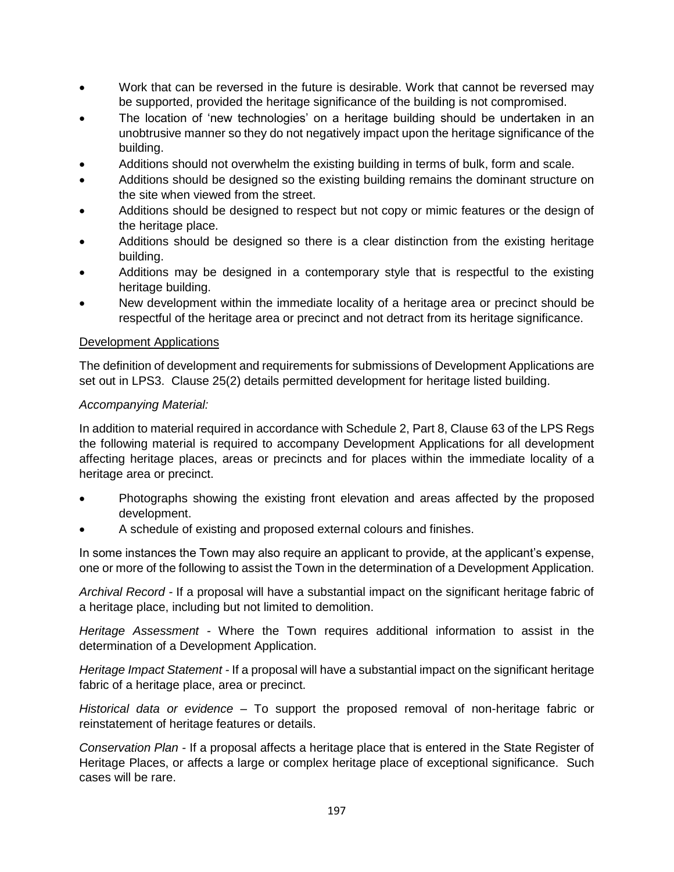- Work that can be reversed in the future is desirable. Work that cannot be reversed may be supported, provided the heritage significance of the building is not compromised.
- The location of 'new technologies' on a heritage building should be undertaken in an unobtrusive manner so they do not negatively impact upon the heritage significance of the building.
- Additions should not overwhelm the existing building in terms of bulk, form and scale.
- Additions should be designed so the existing building remains the dominant structure on the site when viewed from the street.
- Additions should be designed to respect but not copy or mimic features or the design of the heritage place.
- Additions should be designed so there is a clear distinction from the existing heritage building.
- Additions may be designed in a contemporary style that is respectful to the existing heritage building.
- New development within the immediate locality of a heritage area or precinct should be respectful of the heritage area or precinct and not detract from its heritage significance.

### Development Applications

The definition of development and requirements for submissions of Development Applications are set out in LPS3. Clause 25(2) details permitted development for heritage listed building.

### *Accompanying Material:*

In addition to material required in accordance with Schedule 2, Part 8, Clause 63 of the LPS Regs the following material is required to accompany Development Applications for all development affecting heritage places, areas or precincts and for places within the immediate locality of a heritage area or precinct.

- Photographs showing the existing front elevation and areas affected by the proposed development.
- A schedule of existing and proposed external colours and finishes.

In some instances the Town may also require an applicant to provide, at the applicant's expense, one or more of the following to assist the Town in the determination of a Development Application.

*Archival Record -* If a proposal will have a substantial impact on the significant heritage fabric of a heritage place, including but not limited to demolition.

*Heritage Assessment -* Where the Town requires additional information to assist in the determination of a Development Application.

*Heritage Impact Statement -* If a proposal will have a substantial impact on the significant heritage fabric of a heritage place, area or precinct.

*Historical data or evidence –* To support the proposed removal of non-heritage fabric or reinstatement of heritage features or details.

*Conservation Plan -* If a proposal affects a heritage place that is entered in the State Register of Heritage Places, or affects a large or complex heritage place of exceptional significance. Such cases will be rare.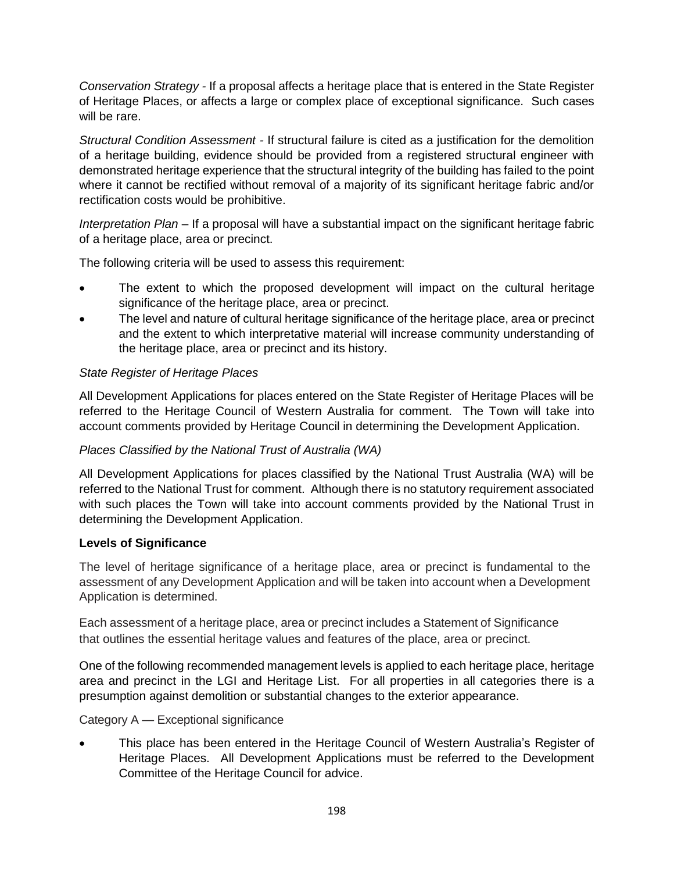*Conservation Strategy -* If a proposal affects a heritage place that is entered in the State Register of Heritage Places, or affects a large or complex place of exceptional significance. Such cases will be rare.

*Structural Condition Assessment -* If structural failure is cited as a justification for the demolition of a heritage building, evidence should be provided from a registered structural engineer with demonstrated heritage experience that the structural integrity of the building has failed to the point where it cannot be rectified without removal of a majority of its significant heritage fabric and/or rectification costs would be prohibitive.

*Interpretation Plan –* If a proposal will have a substantial impact on the significant heritage fabric of a heritage place, area or precinct.

The following criteria will be used to assess this requirement:

- The extent to which the proposed development will impact on the cultural heritage significance of the heritage place, area or precinct.
- The level and nature of cultural heritage significance of the heritage place, area or precinct and the extent to which interpretative material will increase community understanding of the heritage place, area or precinct and its history.

### *State Register of Heritage Places*

All Development Applications for places entered on the State Register of Heritage Places will be referred to the Heritage Council of Western Australia for comment. The Town will take into account comments provided by Heritage Council in determining the Development Application.

### *Places Classified by the National Trust of Australia (WA)*

All Development Applications for places classified by the National Trust Australia (WA) will be referred to the National Trust for comment. Although there is no statutory requirement associated with such places the Town will take into account comments provided by the National Trust in determining the Development Application.

### **Levels of Significance**

The level of heritage significance of a heritage place, area or precinct is fundamental to the assessment of any Development Application and will be taken into account when a Development Application is determined.

Each assessment of a heritage place, area or precinct includes a Statement of Significance that outlines the essential heritage values and features of the place, area or precinct.

One of the following recommended management levels is applied to each heritage place, heritage area and precinct in the LGI and Heritage List. For all properties in all categories there is a presumption against demolition or substantial changes to the exterior appearance.

Category A — Exceptional significance

 This place has been entered in the Heritage Council of Western Australia's Register of Heritage Places. All Development Applications must be referred to the Development Committee of the Heritage Council for advice.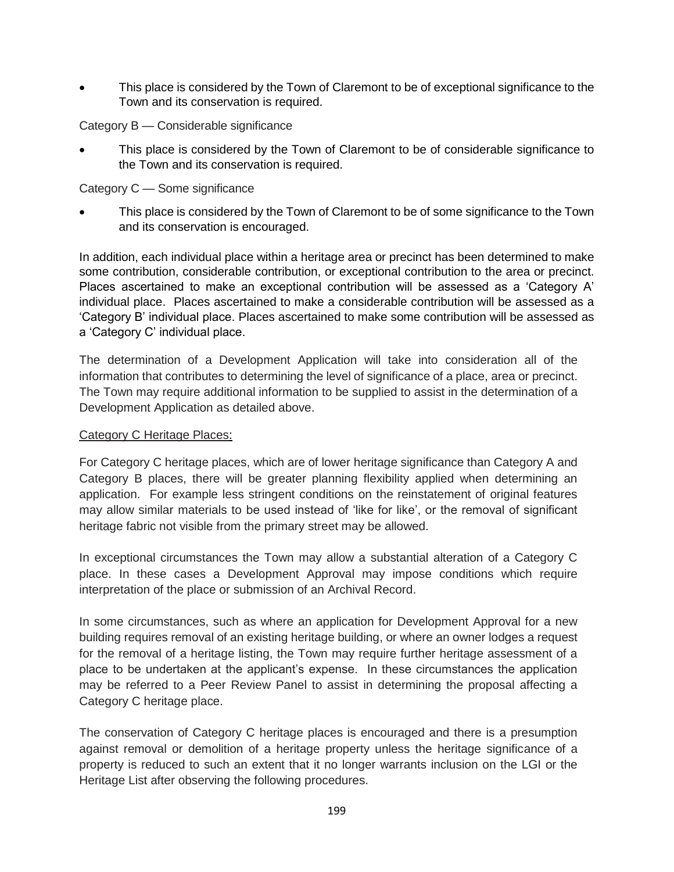This place is considered by the Town of Claremont to be of exceptional significance to the Town and its conservation is required.

Category B — Considerable significance

 This place is considered by the Town of Claremont to be of considerable significance to the Town and its conservation is required.

Category C — Some significance

 This place is considered by the Town of Claremont to be of some significance to the Town and its conservation is encouraged.

In addition, each individual place within a heritage area or precinct has been determined to make some contribution, considerable contribution, or exceptional contribution to the area or precinct. Places ascertained to make an exceptional contribution will be assessed as a 'Category A' individual place. Places ascertained to make a considerable contribution will be assessed as a 'Category B' individual place. Places ascertained to make some contribution will be assessed as a 'Category C' individual place.

The determination of a Development Application will take into consideration all of the information that contributes to determining the level of significance of a place, area or precinct. The Town may require additional information to be supplied to assist in the determination of a Development Application as detailed above.

#### Category C Heritage Places:

For Category C heritage places, which are of lower heritage significance than Category A and Category B places, there will be greater planning flexibility applied when determining an application. For example less stringent conditions on the reinstatement of original features may allow similar materials to be used instead of 'like for like', or the removal of significant heritage fabric not visible from the primary street may be allowed.

In exceptional circumstances the Town may allow a substantial alteration of a Category C place. In these cases a Development Approval may impose conditions which require interpretation of the place or submission of an Archival Record.

In some circumstances, such as where an application for Development Approval for a new building requires removal of an existing heritage building, or where an owner lodges a request for the removal of a heritage listing, the Town may require further heritage assessment of a place to be undertaken at the applicant's expense. In these circumstances the application may be referred to a Peer Review Panel to assist in determining the proposal affecting a Category C heritage place.

The conservation of Category C heritage places is encouraged and there is a presumption against removal or demolition of a heritage property unless the heritage significance of a property is reduced to such an extent that it no longer warrants inclusion on the LGI or the Heritage List after observing the following procedures.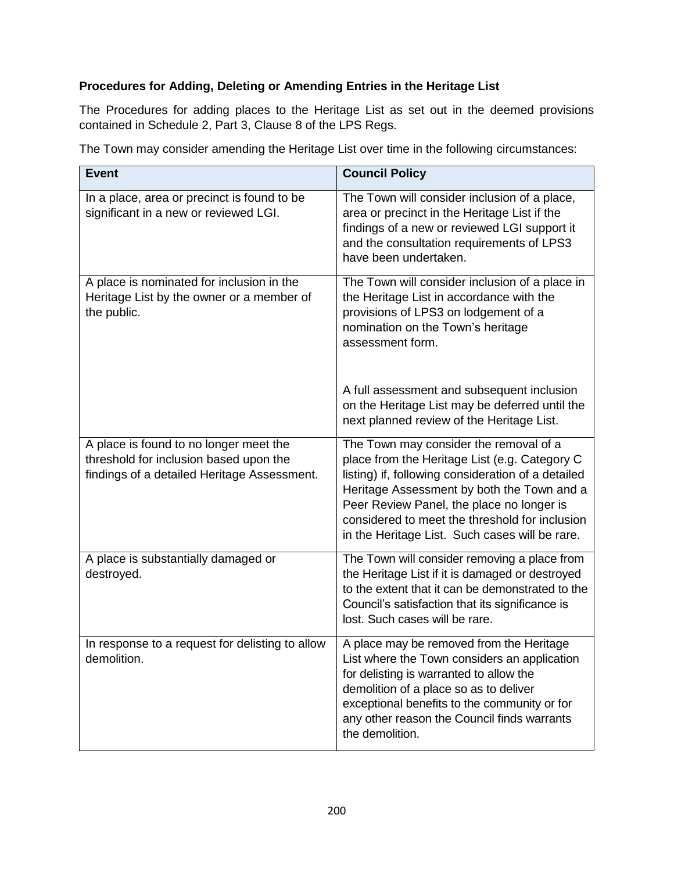### **Procedures for Adding, Deleting or Amending Entries in the Heritage List**

The Procedures for adding places to the Heritage List as set out in the deemed provisions contained in Schedule 2, Part 3, Clause 8 of the LPS Regs.

The Town may consider amending the Heritage List over time in the following circumstances:

| <b>Event</b>                                                                                                                    | <b>Council Policy</b>                                                                                                                                                                                                                                                                                                                        |
|---------------------------------------------------------------------------------------------------------------------------------|----------------------------------------------------------------------------------------------------------------------------------------------------------------------------------------------------------------------------------------------------------------------------------------------------------------------------------------------|
| In a place, area or precinct is found to be<br>significant in a new or reviewed LGI.                                            | The Town will consider inclusion of a place,<br>area or precinct in the Heritage List if the<br>findings of a new or reviewed LGI support it<br>and the consultation requirements of LPS3<br>have been undertaken.                                                                                                                           |
| A place is nominated for inclusion in the<br>Heritage List by the owner or a member of<br>the public.                           | The Town will consider inclusion of a place in<br>the Heritage List in accordance with the<br>provisions of LPS3 on lodgement of a<br>nomination on the Town's heritage<br>assessment form.                                                                                                                                                  |
|                                                                                                                                 | A full assessment and subsequent inclusion<br>on the Heritage List may be deferred until the<br>next planned review of the Heritage List.                                                                                                                                                                                                    |
| A place is found to no longer meet the<br>threshold for inclusion based upon the<br>findings of a detailed Heritage Assessment. | The Town may consider the removal of a<br>place from the Heritage List (e.g. Category C<br>listing) if, following consideration of a detailed<br>Heritage Assessment by both the Town and a<br>Peer Review Panel, the place no longer is<br>considered to meet the threshold for inclusion<br>in the Heritage List. Such cases will be rare. |
| A place is substantially damaged or<br>destroyed.                                                                               | The Town will consider removing a place from<br>the Heritage List if it is damaged or destroyed<br>to the extent that it can be demonstrated to the<br>Council's satisfaction that its significance is<br>lost. Such cases will be rare.                                                                                                     |
| In response to a request for delisting to allow<br>demolition.                                                                  | A place may be removed from the Heritage<br>List where the Town considers an application<br>for delisting is warranted to allow the<br>demolition of a place so as to deliver<br>exceptional benefits to the community or for<br>any other reason the Council finds warrants<br>the demolition.                                              |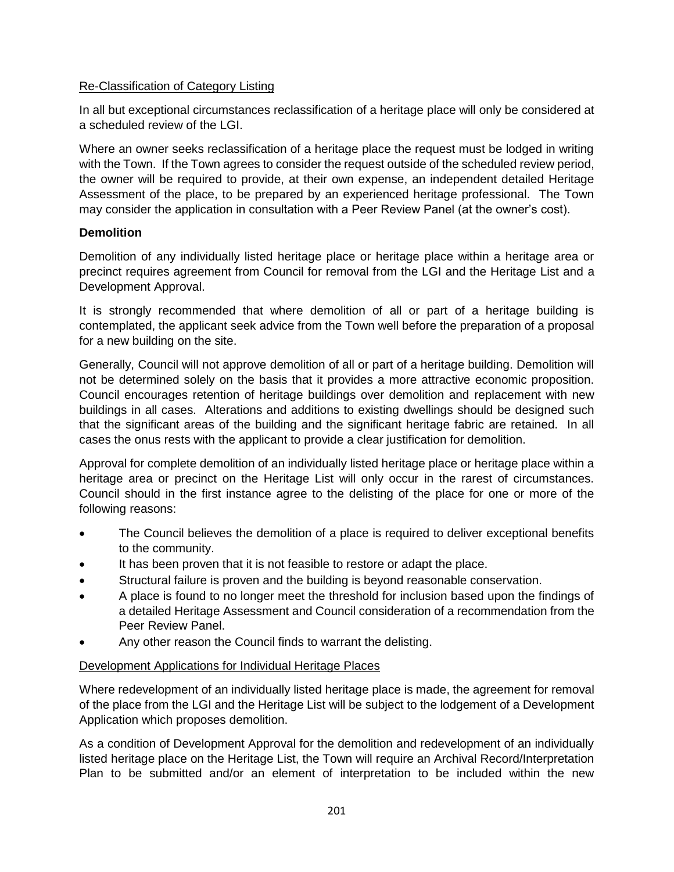### Re-Classification of Category Listing

In all but exceptional circumstances reclassification of a heritage place will only be considered at a scheduled review of the LGI.

Where an owner seeks reclassification of a heritage place the request must be lodged in writing with the Town. If the Town agrees to consider the request outside of the scheduled review period, the owner will be required to provide, at their own expense, an independent detailed Heritage Assessment of the place, to be prepared by an experienced heritage professional. The Town may consider the application in consultation with a Peer Review Panel (at the owner's cost).

### **Demolition**

Demolition of any individually listed heritage place or heritage place within a heritage area or precinct requires agreement from Council for removal from the LGI and the Heritage List and a Development Approval.

It is strongly recommended that where demolition of all or part of a heritage building is contemplated, the applicant seek advice from the Town well before the preparation of a proposal for a new building on the site.

Generally, Council will not approve demolition of all or part of a heritage building. Demolition will not be determined solely on the basis that it provides a more attractive economic proposition. Council encourages retention of heritage buildings over demolition and replacement with new buildings in all cases. Alterations and additions to existing dwellings should be designed such that the significant areas of the building and the significant heritage fabric are retained. In all cases the onus rests with the applicant to provide a clear justification for demolition.

Approval for complete demolition of an individually listed heritage place or heritage place within a heritage area or precinct on the Heritage List will only occur in the rarest of circumstances. Council should in the first instance agree to the delisting of the place for one or more of the following reasons:

- The Council believes the demolition of a place is required to deliver exceptional benefits to the community.
- It has been proven that it is not feasible to restore or adapt the place.
- Structural failure is proven and the building is beyond reasonable conservation.
- A place is found to no longer meet the threshold for inclusion based upon the findings of a detailed Heritage Assessment and Council consideration of a recommendation from the Peer Review Panel.
- Any other reason the Council finds to warrant the delisting.

### Development Applications for Individual Heritage Places

Where redevelopment of an individually listed heritage place is made, the agreement for removal of the place from the LGI and the Heritage List will be subject to the lodgement of a Development Application which proposes demolition.

As a condition of Development Approval for the demolition and redevelopment of an individually listed heritage place on the Heritage List, the Town will require an Archival Record/Interpretation Plan to be submitted and/or an element of interpretation to be included within the new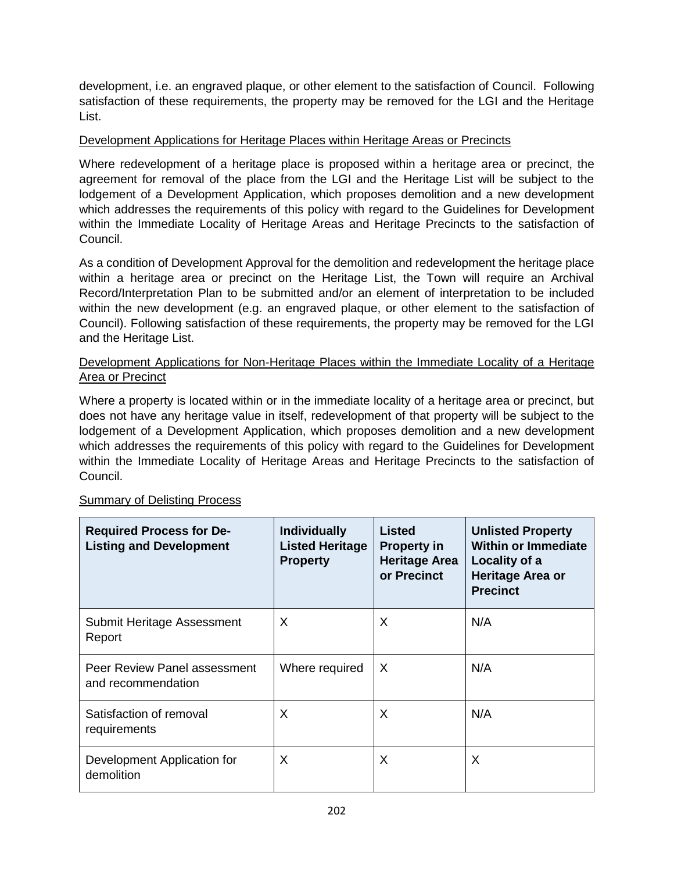development, i.e. an engraved plaque, or other element to the satisfaction of Council. Following satisfaction of these requirements, the property may be removed for the LGI and the Heritage List.

### Development Applications for Heritage Places within Heritage Areas or Precincts

Where redevelopment of a heritage place is proposed within a heritage area or precinct, the agreement for removal of the place from the LGI and the Heritage List will be subject to the lodgement of a Development Application, which proposes demolition and a new development which addresses the requirements of this policy with regard to the Guidelines for Development within the Immediate Locality of Heritage Areas and Heritage Precincts to the satisfaction of Council.

As a condition of Development Approval for the demolition and redevelopment the heritage place within a heritage area or precinct on the Heritage List, the Town will require an Archival Record/Interpretation Plan to be submitted and/or an element of interpretation to be included within the new development (e.g. an engraved plaque, or other element to the satisfaction of Council). Following satisfaction of these requirements, the property may be removed for the LGI and the Heritage List.

### Development Applications for Non-Heritage Places within the Immediate Locality of a Heritage Area or Precinct

Where a property is located within or in the immediate locality of a heritage area or precinct, but does not have any heritage value in itself, redevelopment of that property will be subject to the lodgement of a Development Application, which proposes demolition and a new development which addresses the requirements of this policy with regard to the Guidelines for Development within the Immediate Locality of Heritage Areas and Heritage Precincts to the satisfaction of Council.

| <b>Required Process for De-</b><br><b>Listing and Development</b> | <b>Individually</b><br><b>Listed Heritage</b><br><b>Property</b> | <b>Listed</b><br><b>Property in</b><br><b>Heritage Area</b><br>or Precinct | <b>Unlisted Property</b><br><b>Within or Immediate</b><br>Locality of a<br>Heritage Area or<br><b>Precinct</b> |
|-------------------------------------------------------------------|------------------------------------------------------------------|----------------------------------------------------------------------------|----------------------------------------------------------------------------------------------------------------|
| Submit Heritage Assessment<br>Report                              | X                                                                | X                                                                          | N/A                                                                                                            |
| Peer Review Panel assessment<br>and recommendation                | Where required                                                   | X                                                                          | N/A                                                                                                            |
| Satisfaction of removal<br>requirements                           | X                                                                | X                                                                          | N/A                                                                                                            |
| Development Application for<br>demolition                         | X                                                                | X                                                                          | X                                                                                                              |

### Summary of Delisting Process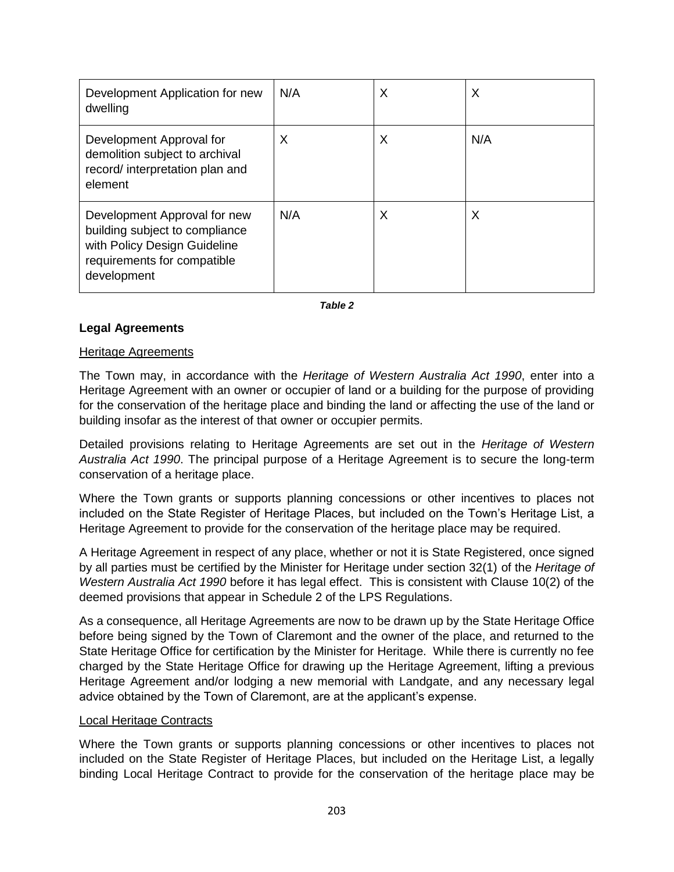| Development Application for new<br>dwelling                                                                                                  | N/A | X | X   |
|----------------------------------------------------------------------------------------------------------------------------------------------|-----|---|-----|
| Development Approval for<br>demolition subject to archival<br>record/ interpretation plan and<br>element                                     | X   | X | N/A |
| Development Approval for new<br>building subject to compliance<br>with Policy Design Guideline<br>requirements for compatible<br>development | N/A | X | X   |

*Table 2*

### **Legal Agreements**

#### Heritage Agreements

The Town may, in accordance with the *Heritage of Western Australia Act 1990*, enter into a Heritage Agreement with an owner or occupier of land or a building for the purpose of providing for the conservation of the heritage place and binding the land or affecting the use of the land or building insofar as the interest of that owner or occupier permits.

Detailed provisions relating to Heritage Agreements are set out in the *Heritage of Western Australia Act 1990*. The principal purpose of a Heritage Agreement is to secure the long-term conservation of a heritage place.

Where the Town grants or supports planning concessions or other incentives to places not included on the State Register of Heritage Places, but included on the Town's Heritage List, a Heritage Agreement to provide for the conservation of the heritage place may be required.

A Heritage Agreement in respect of any place, whether or not it is State Registered, once signed by all parties must be certified by the Minister for Heritage under section 32(1) of the *Heritage of Western Australia Act 1990* before it has legal effect. This is consistent with Clause 10(2) of the deemed provisions that appear in Schedule 2 of the LPS Regulations.

As a consequence, all Heritage Agreements are now to be drawn up by the State Heritage Office before being signed by the Town of Claremont and the owner of the place, and returned to the State Heritage Office for certification by the Minister for Heritage. While there is currently no fee charged by the State Heritage Office for drawing up the Heritage Agreement, lifting a previous Heritage Agreement and/or lodging a new memorial with Landgate, and any necessary legal advice obtained by the Town of Claremont, are at the applicant's expense.

#### Local Heritage Contracts

Where the Town grants or supports planning concessions or other incentives to places not included on the State Register of Heritage Places, but included on the Heritage List, a legally binding Local Heritage Contract to provide for the conservation of the heritage place may be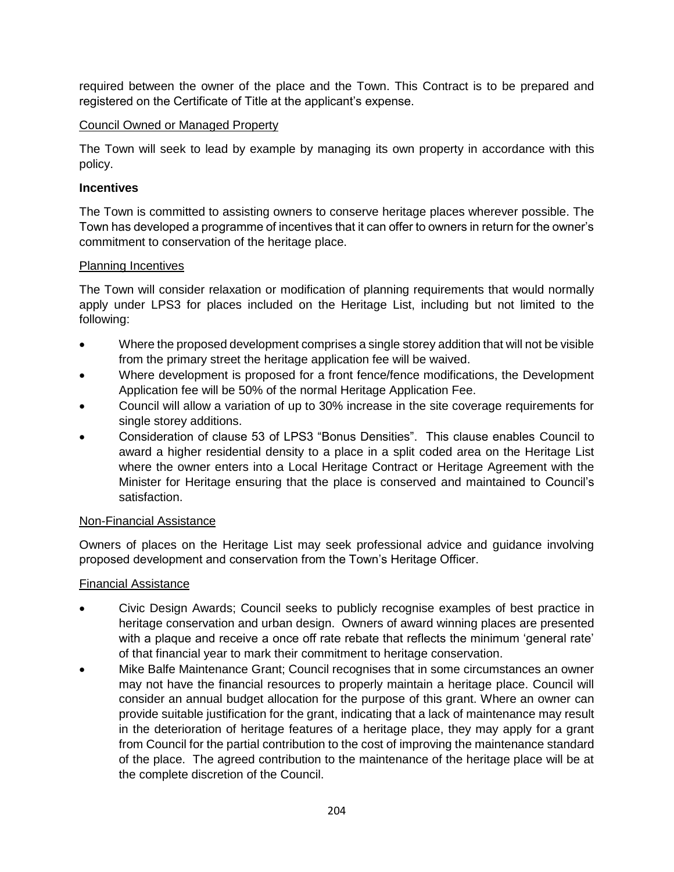required between the owner of the place and the Town. This Contract is to be prepared and registered on the Certificate of Title at the applicant's expense.

### Council Owned or Managed Property

The Town will seek to lead by example by managing its own property in accordance with this policy.

### **Incentives**

The Town is committed to assisting owners to conserve heritage places wherever possible. The Town has developed a programme of incentives that it can offer to owners in return for the owner's commitment to conservation of the heritage place.

### Planning Incentives

The Town will consider relaxation or modification of planning requirements that would normally apply under LPS3 for places included on the Heritage List, including but not limited to the following:

- Where the proposed development comprises a single storey addition that will not be visible from the primary street the heritage application fee will be waived.
- Where development is proposed for a front fence/fence modifications, the Development Application fee will be 50% of the normal Heritage Application Fee.
- Council will allow a variation of up to 30% increase in the site coverage requirements for single storey additions.
- Consideration of clause 53 of LPS3 "Bonus Densities". This clause enables Council to award a higher residential density to a place in a split coded area on the Heritage List where the owner enters into a Local Heritage Contract or Heritage Agreement with the Minister for Heritage ensuring that the place is conserved and maintained to Council's satisfaction.

### Non-Financial Assistance

Owners of places on the Heritage List may seek professional advice and guidance involving proposed development and conservation from the Town's Heritage Officer.

### Financial Assistance

- Civic Design Awards; Council seeks to publicly recognise examples of best practice in heritage conservation and urban design. Owners of award winning places are presented with a plaque and receive a once off rate rebate that reflects the minimum 'general rate' of that financial year to mark their commitment to heritage conservation.
- Mike Balfe Maintenance Grant; Council recognises that in some circumstances an owner may not have the financial resources to properly maintain a heritage place. Council will consider an annual budget allocation for the purpose of this grant. Where an owner can provide suitable justification for the grant, indicating that a lack of maintenance may result in the deterioration of heritage features of a heritage place, they may apply for a grant from Council for the partial contribution to the cost of improving the maintenance standard of the place. The agreed contribution to the maintenance of the heritage place will be at the complete discretion of the Council.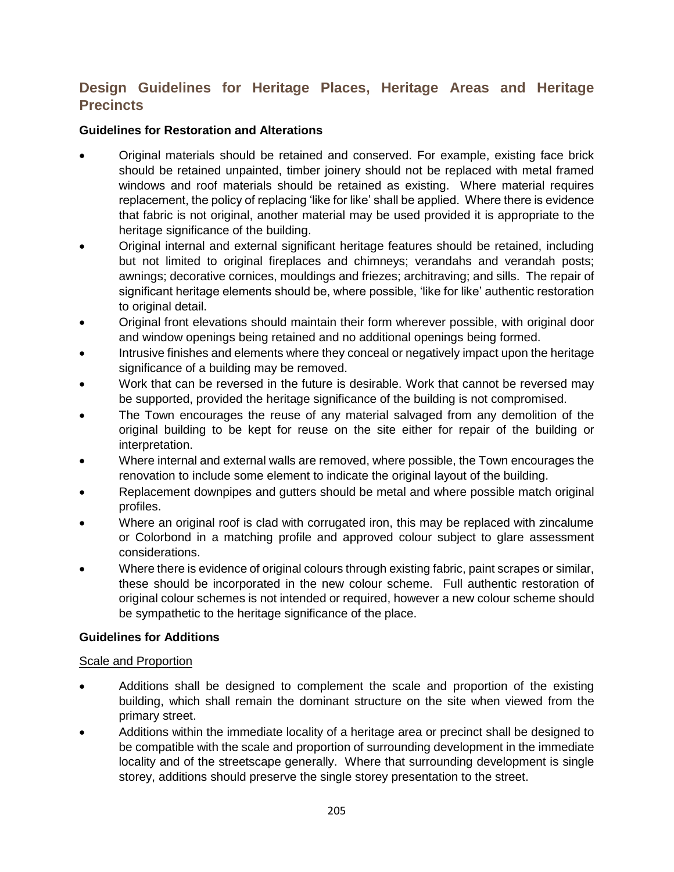## **Design Guidelines for Heritage Places, Heritage Areas and Heritage Precincts**

### **Guidelines for Restoration and Alterations**

- Original materials should be retained and conserved. For example, existing face brick should be retained unpainted, timber joinery should not be replaced with metal framed windows and roof materials should be retained as existing. Where material requires replacement, the policy of replacing 'like for like' shall be applied. Where there is evidence that fabric is not original, another material may be used provided it is appropriate to the heritage significance of the building.
- Original internal and external significant heritage features should be retained, including but not limited to original fireplaces and chimneys; verandahs and verandah posts; awnings; decorative cornices, mouldings and friezes; architraving; and sills. The repair of significant heritage elements should be, where possible, 'like for like' authentic restoration to original detail.
- Original front elevations should maintain their form wherever possible, with original door and window openings being retained and no additional openings being formed.
- Intrusive finishes and elements where they conceal or negatively impact upon the heritage significance of a building may be removed.
- Work that can be reversed in the future is desirable. Work that cannot be reversed may be supported, provided the heritage significance of the building is not compromised.
- The Town encourages the reuse of any material salvaged from any demolition of the original building to be kept for reuse on the site either for repair of the building or interpretation.
- Where internal and external walls are removed, where possible, the Town encourages the renovation to include some element to indicate the original layout of the building.
- Replacement downpipes and gutters should be metal and where possible match original profiles.
- Where an original roof is clad with corrugated iron, this may be replaced with zincalume or Colorbond in a matching profile and approved colour subject to glare assessment considerations.
- Where there is evidence of original colours through existing fabric, paint scrapes or similar, these should be incorporated in the new colour scheme. Full authentic restoration of original colour schemes is not intended or required, however a new colour scheme should be sympathetic to the heritage significance of the place.

### **Guidelines for Additions**

### Scale and Proportion

- Additions shall be designed to complement the scale and proportion of the existing building, which shall remain the dominant structure on the site when viewed from the primary street.
- Additions within the immediate locality of a heritage area or precinct shall be designed to be compatible with the scale and proportion of surrounding development in the immediate locality and of the streetscape generally. Where that surrounding development is single storey, additions should preserve the single storey presentation to the street.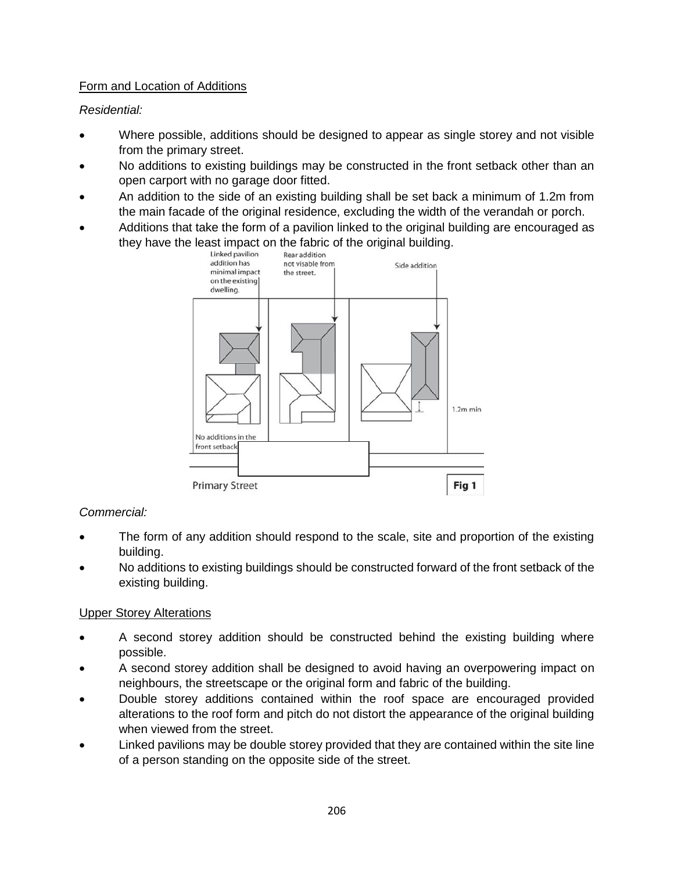### Form and Location of Additions

*Residential:*

- Where possible, additions should be designed to appear as single storey and not visible from the primary street.
- No additions to existing buildings may be constructed in the front setback other than an open carport with no garage door fitted.
- An addition to the side of an existing building shall be set back a minimum of 1.2m from the main facade of the original residence, excluding the width of the verandah or porch.
- Additions that take the form of a pavilion linked to the original building are encouraged as they have the least impact on the fabric of the original building.<br>Linked pavilion Rear addition



### *Commercial:*

- The form of any addition should respond to the scale, site and proportion of the existing building.
- No additions to existing buildings should be constructed forward of the front setback of the existing building.

### Upper Storey Alterations

- A second storey addition should be constructed behind the existing building where possible.
- A second storey addition shall be designed to avoid having an overpowering impact on neighbours, the streetscape or the original form and fabric of the building.
- Double storey additions contained within the roof space are encouraged provided alterations to the roof form and pitch do not distort the appearance of the original building when viewed from the street.
- Linked pavilions may be double storey provided that they are contained within the site line of a person standing on the opposite side of the street.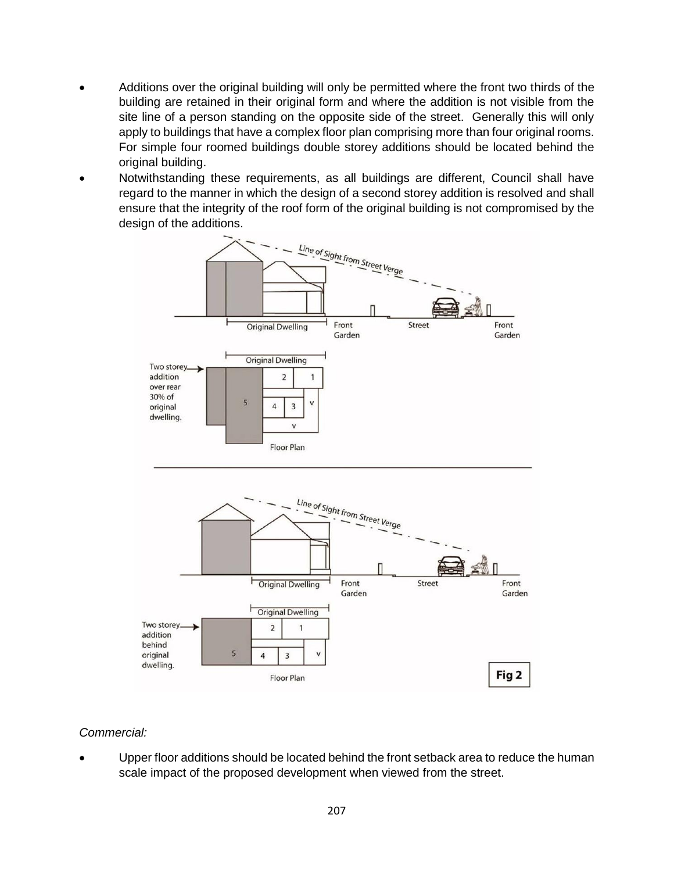- Additions over the original building will only be permitted where the front two thirds of the building are retained in their original form and where the addition is not visible from the site line of a person standing on the opposite side of the street. Generally this will only apply to buildings that have a complex floor plan comprising more than four original rooms. For simple four roomed buildings double storey additions should be located behind the original building.
- Notwithstanding these requirements, as all buildings are different, Council shall have regard to the manner in which the design of a second storey addition is resolved and shall ensure that the integrity of the roof form of the original building is not compromised by the design of the additions.



### *Commercial:*

 Upper floor additions should be located behind the front setback area to reduce the human scale impact of the proposed development when viewed from the street.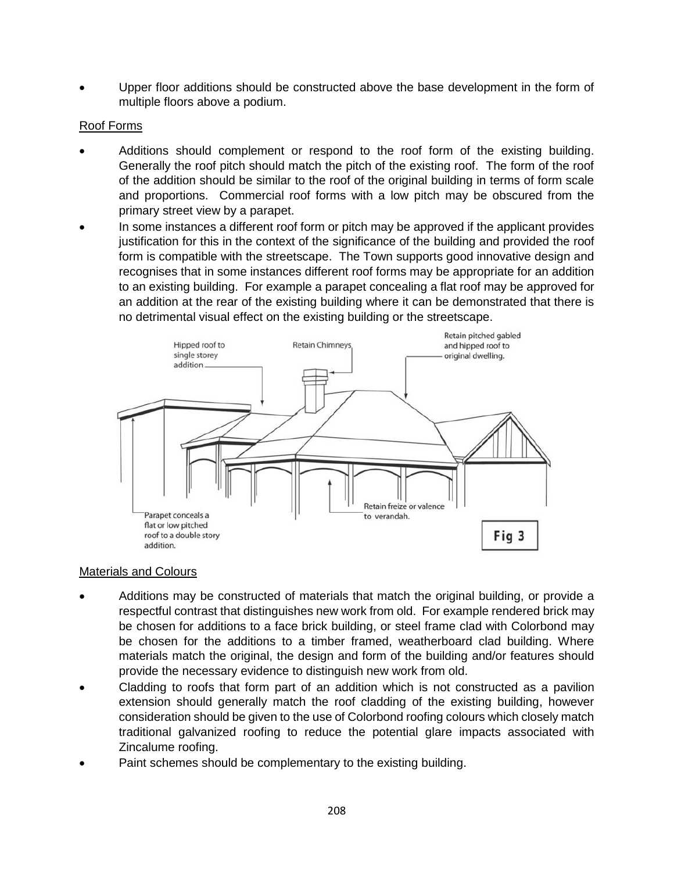Upper floor additions should be constructed above the base development in the form of multiple floors above a podium.

### Roof Forms

- Additions should complement or respond to the roof form of the existing building. Generally the roof pitch should match the pitch of the existing roof. The form of the roof of the addition should be similar to the roof of the original building in terms of form scale and proportions. Commercial roof forms with a low pitch may be obscured from the primary street view by a parapet.
- In some instances a different roof form or pitch may be approved if the applicant provides justification for this in the context of the significance of the building and provided the roof form is compatible with the streetscape. The Town supports good innovative design and recognises that in some instances different roof forms may be appropriate for an addition to an existing building. For example a parapet concealing a flat roof may be approved for an addition at the rear of the existing building where it can be demonstrated that there is no detrimental visual effect on the existing building or the streetscape.



### Materials and Colours

- Additions may be constructed of materials that match the original building, or provide a respectful contrast that distinguishes new work from old. For example rendered brick may be chosen for additions to a face brick building, or steel frame clad with Colorbond may be chosen for the additions to a timber framed, weatherboard clad building. Where materials match the original, the design and form of the building and/or features should provide the necessary evidence to distinguish new work from old.
- Cladding to roofs that form part of an addition which is not constructed as a pavilion extension should generally match the roof cladding of the existing building, however consideration should be given to the use of Colorbond roofing colours which closely match traditional galvanized roofing to reduce the potential glare impacts associated with Zincalume roofing.
- Paint schemes should be complementary to the existing building.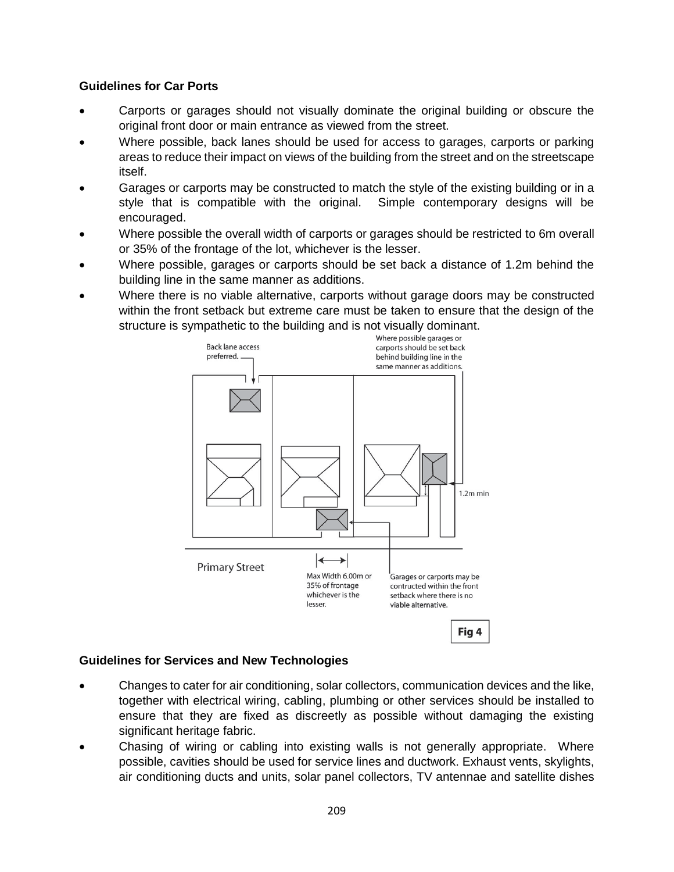### **Guidelines for Car Ports**

- Carports or garages should not visually dominate the original building or obscure the original front door or main entrance as viewed from the street.
- Where possible, back lanes should be used for access to garages, carports or parking areas to reduce their impact on views of the building from the street and on the streetscape itself.
- Garages or carports may be constructed to match the style of the existing building or in a style that is compatible with the original. Simple contemporary designs will be encouraged.
- Where possible the overall width of carports or garages should be restricted to 6m overall or 35% of the frontage of the lot, whichever is the lesser.
- Where possible, garages or carports should be set back a distance of 1.2m behind the building line in the same manner as additions.
- Where there is no viable alternative, carports without garage doors may be constructed within the front setback but extreme care must be taken to ensure that the design of the structure is sympathetic to the building and is not visually dominant.<br>Where possible garages or



### **Guidelines for Services and New Technologies**

- Changes to cater for air conditioning, solar collectors, communication devices and the like, together with electrical wiring, cabling, plumbing or other services should be installed to ensure that they are fixed as discreetly as possible without damaging the existing significant heritage fabric.
- Chasing of wiring or cabling into existing walls is not generally appropriate. Where possible, cavities should be used for service lines and ductwork. Exhaust vents, skylights, air conditioning ducts and units, solar panel collectors, TV antennae and satellite dishes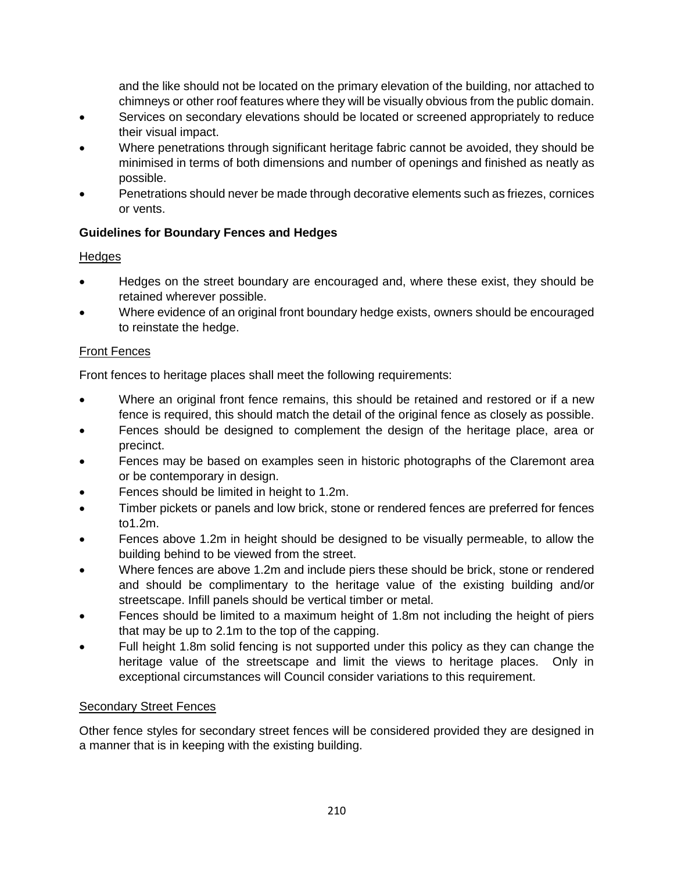and the like should not be located on the primary elevation of the building, nor attached to chimneys or other roof features where they will be visually obvious from the public domain.

- Services on secondary elevations should be located or screened appropriately to reduce their visual impact.
- Where penetrations through significant heritage fabric cannot be avoided, they should be minimised in terms of both dimensions and number of openings and finished as neatly as possible.
- Penetrations should never be made through decorative elements such as friezes, cornices or vents.

### **Guidelines for Boundary Fences and Hedges**

### **Hedges**

- Hedges on the street boundary are encouraged and, where these exist, they should be retained wherever possible.
- Where evidence of an original front boundary hedge exists, owners should be encouraged to reinstate the hedge.

### Front Fences

Front fences to heritage places shall meet the following requirements:

- Where an original front fence remains, this should be retained and restored or if a new fence is required, this should match the detail of the original fence as closely as possible.
- Fences should be designed to complement the design of the heritage place, area or precinct.
- Fences may be based on examples seen in historic photographs of the Claremont area or be contemporary in design.
- Fences should be limited in height to 1.2m.
- Timber pickets or panels and low brick, stone or rendered fences are preferred for fences to1.2m.
- Fences above 1.2m in height should be designed to be visually permeable, to allow the building behind to be viewed from the street.
- Where fences are above 1.2m and include piers these should be brick, stone or rendered and should be complimentary to the heritage value of the existing building and/or streetscape. Infill panels should be vertical timber or metal.
- Fences should be limited to a maximum height of 1.8m not including the height of piers that may be up to 2.1m to the top of the capping.
- Full height 1.8m solid fencing is not supported under this policy as they can change the heritage value of the streetscape and limit the views to heritage places. Only in exceptional circumstances will Council consider variations to this requirement.

### Secondary Street Fences

Other fence styles for secondary street fences will be considered provided they are designed in a manner that is in keeping with the existing building.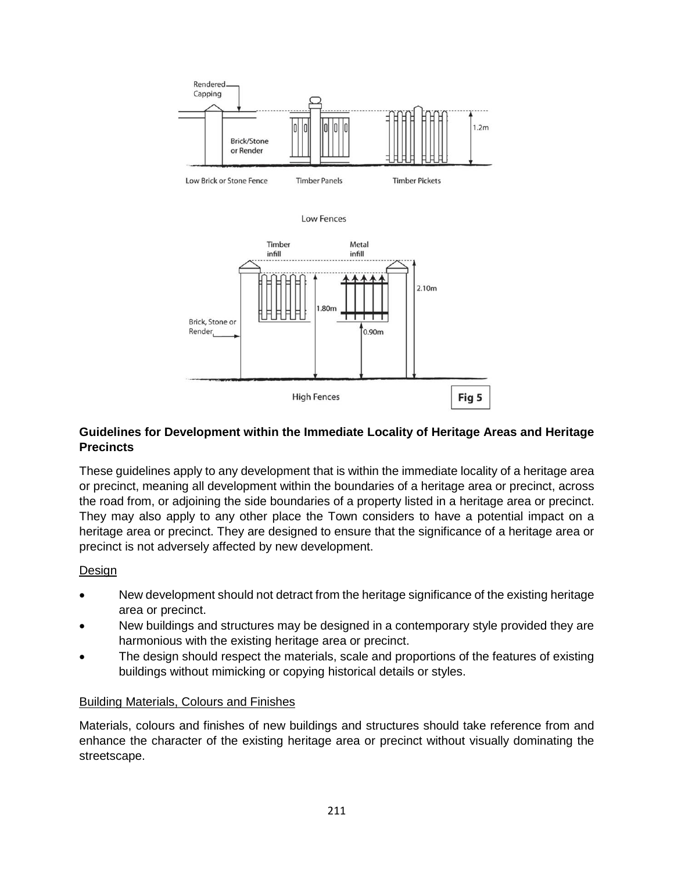

Low Fences



### **Guidelines for Development within the Immediate Locality of Heritage Areas and Heritage Precincts**

These guidelines apply to any development that is within the immediate locality of a heritage area or precinct, meaning all development within the boundaries of a heritage area or precinct, across the road from, or adjoining the side boundaries of a property listed in a heritage area or precinct. They may also apply to any other place the Town considers to have a potential impact on a heritage area or precinct. They are designed to ensure that the significance of a heritage area or precinct is not adversely affected by new development.

### Design

- New development should not detract from the heritage significance of the existing heritage area or precinct.
- New buildings and structures may be designed in a contemporary style provided they are harmonious with the existing heritage area or precinct.
- The design should respect the materials, scale and proportions of the features of existing buildings without mimicking or copying historical details or styles.

### Building Materials, Colours and Finishes

Materials, colours and finishes of new buildings and structures should take reference from and enhance the character of the existing heritage area or precinct without visually dominating the streetscape.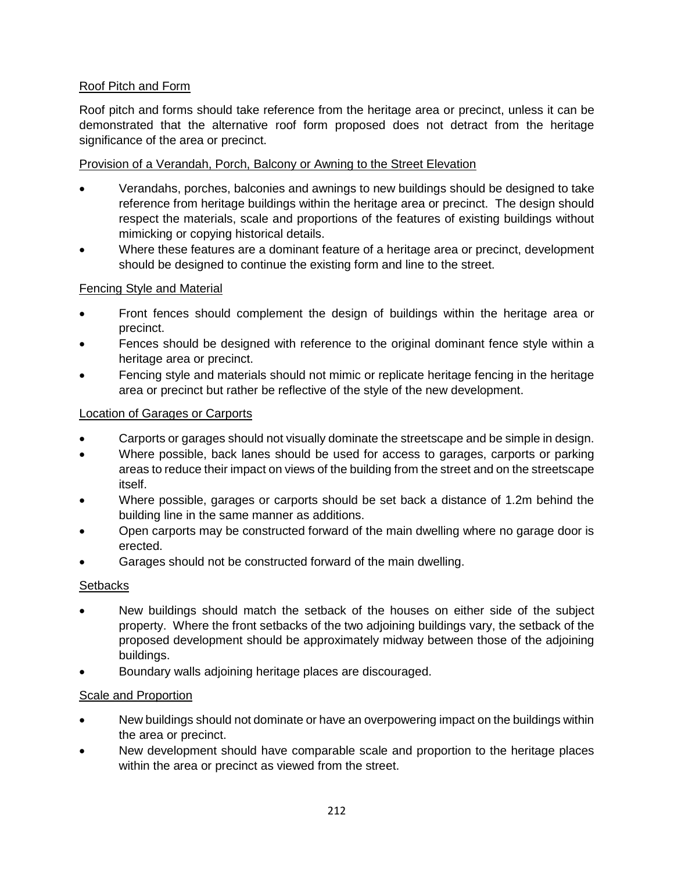### Roof Pitch and Form

Roof pitch and forms should take reference from the heritage area or precinct, unless it can be demonstrated that the alternative roof form proposed does not detract from the heritage significance of the area or precinct.

### Provision of a Verandah, Porch, Balcony or Awning to the Street Elevation

- Verandahs, porches, balconies and awnings to new buildings should be designed to take reference from heritage buildings within the heritage area or precinct. The design should respect the materials, scale and proportions of the features of existing buildings without mimicking or copying historical details.
- Where these features are a dominant feature of a heritage area or precinct, development should be designed to continue the existing form and line to the street.

### Fencing Style and Material

- Front fences should complement the design of buildings within the heritage area or precinct.
- Fences should be designed with reference to the original dominant fence style within a heritage area or precinct.
- Fencing style and materials should not mimic or replicate heritage fencing in the heritage area or precinct but rather be reflective of the style of the new development.

### Location of Garages or Carports

- Carports or garages should not visually dominate the streetscape and be simple in design.
- Where possible, back lanes should be used for access to garages, carports or parking areas to reduce their impact on views of the building from the street and on the streetscape itself.
- Where possible, garages or carports should be set back a distance of 1.2m behind the building line in the same manner as additions.
- Open carports may be constructed forward of the main dwelling where no garage door is erected.
- Garages should not be constructed forward of the main dwelling.

### **Setbacks**

- New buildings should match the setback of the houses on either side of the subject property. Where the front setbacks of the two adjoining buildings vary, the setback of the proposed development should be approximately midway between those of the adjoining buildings.
- Boundary walls adjoining heritage places are discouraged.

### Scale and Proportion

- New buildings should not dominate or have an overpowering impact on the buildings within the area or precinct.
- New development should have comparable scale and proportion to the heritage places within the area or precinct as viewed from the street.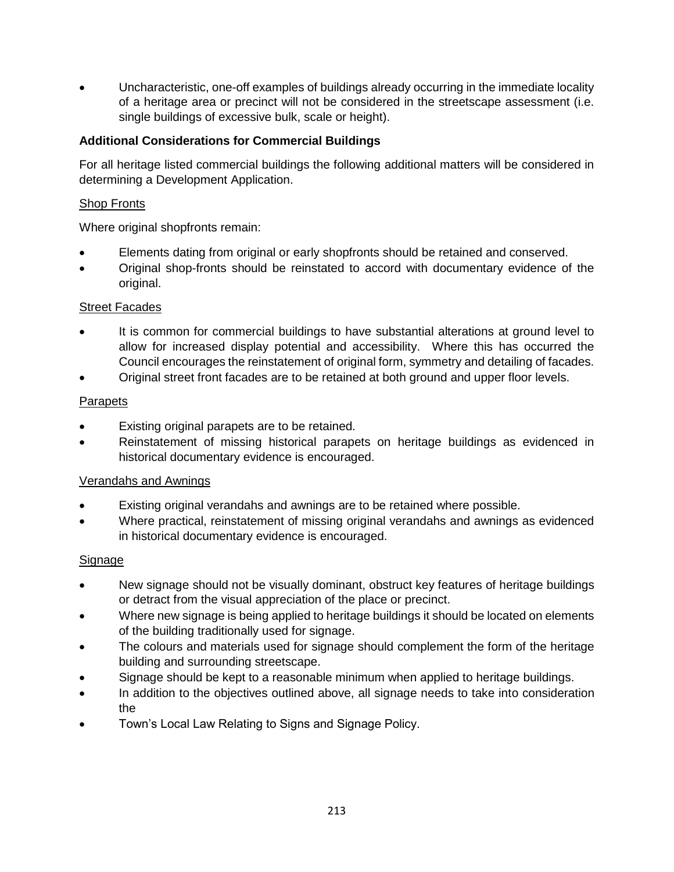Uncharacteristic, one-off examples of buildings already occurring in the immediate locality of a heritage area or precinct will not be considered in the streetscape assessment (i.e. single buildings of excessive bulk, scale or height).

### **Additional Considerations for Commercial Buildings**

For all heritage listed commercial buildings the following additional matters will be considered in determining a Development Application.

### Shop Fronts

Where original shopfronts remain:

- Elements dating from original or early shopfronts should be retained and conserved.
- Original shop-fronts should be reinstated to accord with documentary evidence of the original.

### Street Facades

- It is common for commercial buildings to have substantial alterations at ground level to allow for increased display potential and accessibility. Where this has occurred the Council encourages the reinstatement of original form, symmetry and detailing of facades.
- Original street front facades are to be retained at both ground and upper floor levels.

### **Parapets**

- Existing original parapets are to be retained.
- Reinstatement of missing historical parapets on heritage buildings as evidenced in historical documentary evidence is encouraged.

### Verandahs and Awnings

- Existing original verandahs and awnings are to be retained where possible.
- Where practical, reinstatement of missing original verandahs and awnings as evidenced in historical documentary evidence is encouraged.

### **Signage**

- New signage should not be visually dominant, obstruct key features of heritage buildings or detract from the visual appreciation of the place or precinct.
- Where new signage is being applied to heritage buildings it should be located on elements of the building traditionally used for signage.
- The colours and materials used for signage should complement the form of the heritage building and surrounding streetscape.
- Signage should be kept to a reasonable minimum when applied to heritage buildings.
- In addition to the objectives outlined above, all signage needs to take into consideration the
- Town's Local Law Relating to Signs and Signage Policy.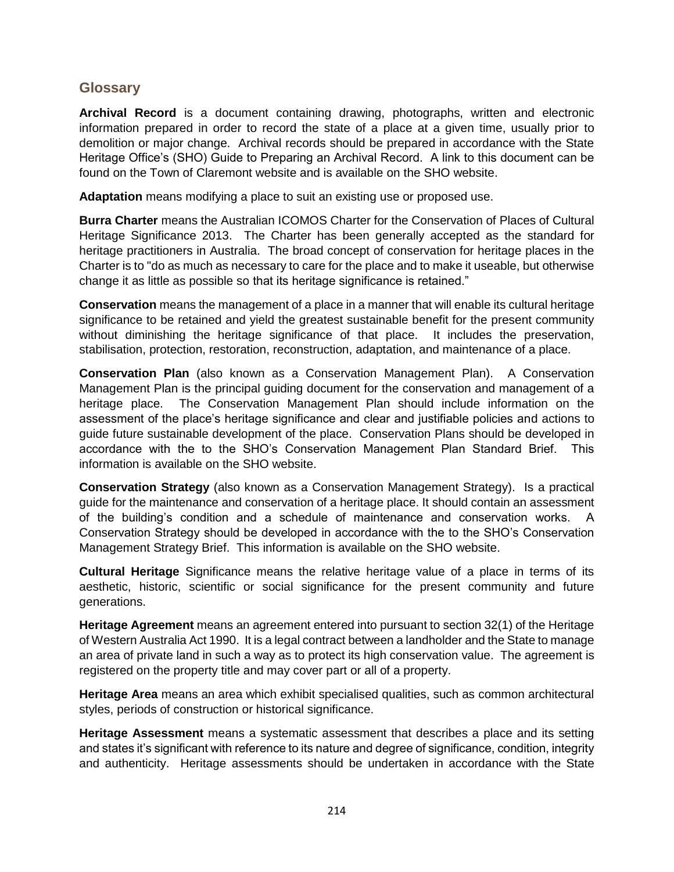### **Glossary**

**Archival Record** is a document containing drawing, photographs, written and electronic information prepared in order to record the state of a place at a given time, usually prior to demolition or major change. Archival records should be prepared in accordance with the State Heritage Office's (SHO) Guide to Preparing an Archival Record. A link to this document can be found on the Town of Claremont website and is available on the SHO website.

**Adaptation** means modifying a place to suit an existing use or proposed use.

**Burra Charter** means the Australian ICOMOS Charter for the Conservation of Places of Cultural Heritage Significance 2013. The Charter has been generally accepted as the standard for heritage practitioners in Australia. The broad concept of conservation for heritage places in the Charter is to "do as much as necessary to care for the place and to make it useable, but otherwise change it as little as possible so that its heritage significance is retained."

**Conservation** means the management of a place in a manner that will enable its cultural heritage significance to be retained and yield the greatest sustainable benefit for the present community without diminishing the heritage significance of that place. It includes the preservation, stabilisation, protection, restoration, reconstruction, adaptation, and maintenance of a place.

**Conservation Plan** (also known as a Conservation Management Plan). A Conservation Management Plan is the principal guiding document for the conservation and management of a heritage place. The Conservation Management Plan should include information on the assessment of the place's heritage significance and clear and justifiable policies and actions to guide future sustainable development of the place. Conservation Plans should be developed in accordance with the to the SHO's Conservation Management Plan Standard Brief. This information is available on the SHO website.

**Conservation Strategy** (also known as a Conservation Management Strategy). Is a practical guide for the maintenance and conservation of a heritage place. It should contain an assessment of the building's condition and a schedule of maintenance and conservation works. A Conservation Strategy should be developed in accordance with the to the SHO's Conservation Management Strategy Brief. This information is available on the SHO website.

**Cultural Heritage** Significance means the relative heritage value of a place in terms of its aesthetic, historic, scientific or social significance for the present community and future generations.

**Heritage Agreement** means an agreement entered into pursuant to section 32(1) of the Heritage of Western Australia Act 1990. It is a legal contract between a landholder and the State to manage an area of private land in such a way as to protect its high conservation value. The agreement is registered on the property title and may cover part or all of a property.

**Heritage Area** means an area which exhibit specialised qualities, such as common architectural styles, periods of construction or historical significance.

**Heritage Assessment** means a systematic assessment that describes a place and its setting and states it's significant with reference to its nature and degree of significance, condition, integrity and authenticity. Heritage assessments should be undertaken in accordance with the State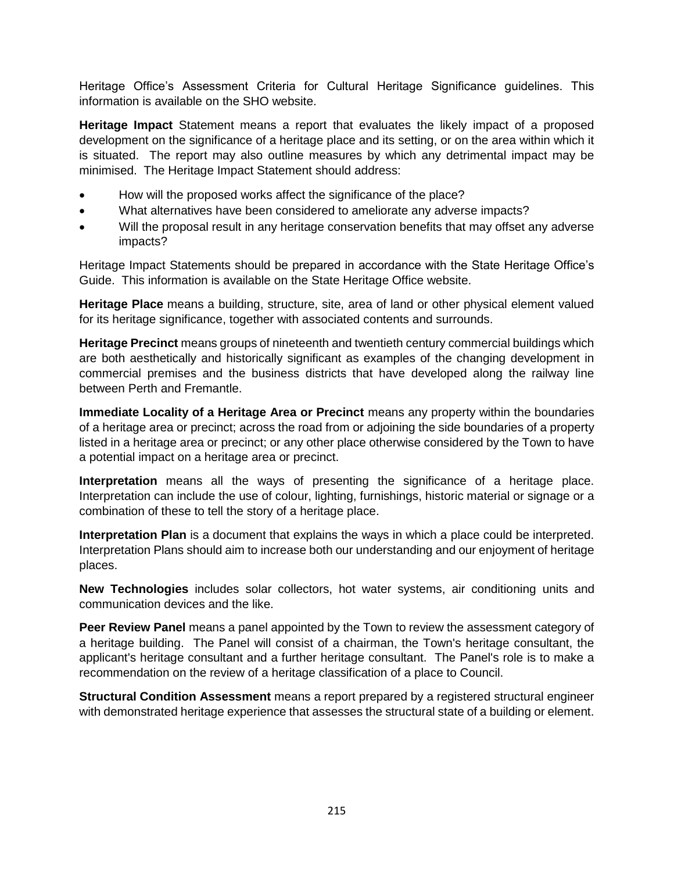Heritage Office's Assessment Criteria for Cultural Heritage Significance guidelines. This information is available on the SHO website.

**Heritage Impact** Statement means a report that evaluates the likely impact of a proposed development on the significance of a heritage place and its setting, or on the area within which it is situated. The report may also outline measures by which any detrimental impact may be minimised. The Heritage Impact Statement should address:

- How will the proposed works affect the significance of the place?
- What alternatives have been considered to ameliorate any adverse impacts?
- Will the proposal result in any heritage conservation benefits that may offset any adverse impacts?

Heritage Impact Statements should be prepared in accordance with the State Heritage Office's Guide. This information is available on the State Heritage Office website.

**Heritage Place** means a building, structure, site, area of land or other physical element valued for its heritage significance, together with associated contents and surrounds.

**Heritage Precinct** means groups of nineteenth and twentieth century commercial buildings which are both aesthetically and historically significant as examples of the changing development in commercial premises and the business districts that have developed along the railway line between Perth and Fremantle.

**Immediate Locality of a Heritage Area or Precinct** means any property within the boundaries of a heritage area or precinct; across the road from or adjoining the side boundaries of a property listed in a heritage area or precinct; or any other place otherwise considered by the Town to have a potential impact on a heritage area or precinct.

**Interpretation** means all the ways of presenting the significance of a heritage place. Interpretation can include the use of colour, lighting, furnishings, historic material or signage or a combination of these to tell the story of a heritage place.

**Interpretation Plan** is a document that explains the ways in which a place could be interpreted. Interpretation Plans should aim to increase both our understanding and our enjoyment of heritage places.

**New Technologies** includes solar collectors, hot water systems, air conditioning units and communication devices and the like.

**Peer Review Panel** means a panel appointed by the Town to review the assessment category of a heritage building. The Panel will consist of a chairman, the Town's heritage consultant, the applicant's heritage consultant and a further heritage consultant. The Panel's role is to make a recommendation on the review of a heritage classification of a place to Council.

**Structural Condition Assessment** means a report prepared by a registered structural engineer with demonstrated heritage experience that assesses the structural state of a building or element.